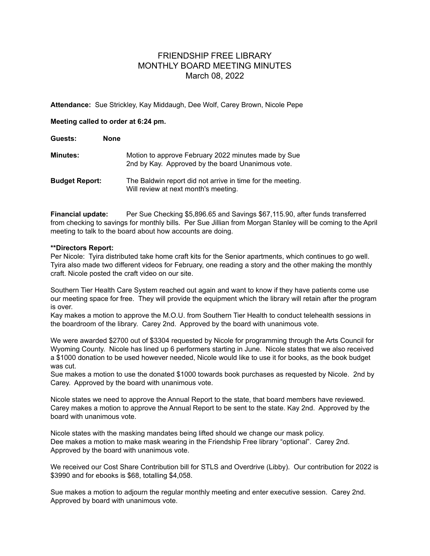## FRIENDSHIP FREE LIBRARY MONTHLY BOARD MEETING MINUTES March 08, 2022

**Attendance:** Sue Strickley, Kay Middaugh, Dee Wolf, Carey Brown, Nicole Pepe

## **Meeting called to order at 6:24 pm.**

| Guests:               | <b>None</b>                                       |                                                            |
|-----------------------|---------------------------------------------------|------------------------------------------------------------|
| Minutes:              | 2nd by Kay. Approved by the board Unanimous vote. | Motion to approve February 2022 minutes made by Sue        |
| <b>Budget Report:</b> | Will review at next month's meeting.              | The Baldwin report did not arrive in time for the meeting. |

**Financial update:** Per Sue Checking \$5,896.65 and Savings \$67,115.90, after funds transferred from checking to savings for monthly bills. Per Sue Jillian from Morgan Stanley will be coming to the April meeting to talk to the board about how accounts are doing.

## **\*\*Directors Report:**

Per Nicole: Tyira distributed take home craft kits for the Senior apartments, which continues to go well. Tyira also made two different videos for February, one reading a story and the other making the monthly craft. Nicole posted the craft video on our site.

Southern Tier Health Care System reached out again and want to know if they have patients come use our meeting space for free. They will provide the equipment which the library will retain after the program is over.

Kay makes a motion to approve the M.O.U. from Southern Tier Health to conduct telehealth sessions in the boardroom of the library. Carey 2nd. Approved by the board with unanimous vote.

We were awarded \$2700 out of \$3304 requested by Nicole for programming through the Arts Council for Wyoming County. Nicole has lined up 6 performers starting in June. Nicole states that we also received a \$1000 donation to be used however needed, Nicole would like to use it for books, as the book budget was cut.

Sue makes a motion to use the donated \$1000 towards book purchases as requested by Nicole. 2nd by Carey. Approved by the board with unanimous vote.

Nicole states we need to approve the Annual Report to the state, that board members have reviewed. Carey makes a motion to approve the Annual Report to be sent to the state. Kay 2nd. Approved by the board with unanimous vote.

Nicole states with the masking mandates being lifted should we change our mask policy. Dee makes a motion to make mask wearing in the Friendship Free library "optional". Carey 2nd. Approved by the board with unanimous vote.

We received our Cost Share Contribution bill for STLS and Overdrive (Libby). Our contribution for 2022 is \$3990 and for ebooks is \$68, totalling \$4,058.

Sue makes a motion to adjourn the regular monthly meeting and enter executive session. Carey 2nd. Approved by board with unanimous vote.